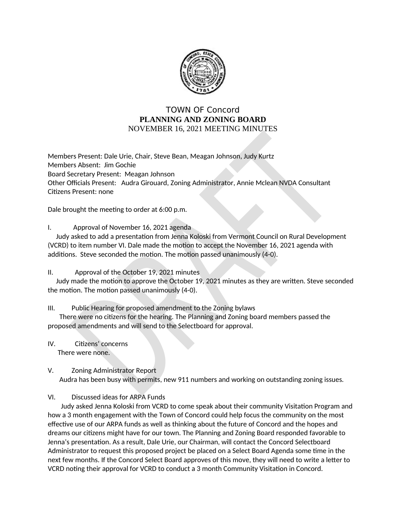

## **TOWN OF Concord** PLANNING AND ZONING BOARD **NOVEMBER 16, 2021 MEETING MINUTES**

Members Present: Dale Urie, Chair, Steve Bean, Meagan Johnson, Judy Kurtz Members Absent: Jim Gochie Board Secretary Present: Meagan Johnson Other Officials Present: Audra Girouard, Zoning Administrator, Annie Mclean NVDA Consultant Citizens Present: none

Dale brought the meeting to order at 6:00 p.m.

I. Approval of November 16, 2021 agenda

Judy asked to add a presentation from Jenna Koloski from Vermont Council on Rural Development (VCRD) to item number VI. Dale made the motion to accept the November 16, 2021 agenda with additions. Steve seconded the motion. The motion passed unanimously (4-0).

## Approval of the October 19, 2021 minutes  $\Pi$ .

Judy made the motion to approve the October 19, 2021 minutes as they are written. Steve seconded the motion. The motion passed unanimously (4-0).

## $III.$ Public Hearing for proposed amendment to the Zoning bylaws

There were no citizens for the hearing. The Planning and Zoning board members passed the proposed amendments and will send to the Selectboard for approval.

- IV. Citizens' concerns There were none.
- V. **Zoning Administrator Report** Audra has been busy with permits, new 911 numbers and working on outstanding zoning issues.

VI. Discussed ideas for ARPA Funds

Judy asked Jenna Koloski from VCRD to come speak about their community Visitation Program and how a 3 month engagement with the Town of Concord could help focus the community on the most effective use of our ARPA funds as well as thinking about the future of Concord and the hopes and dreams our citizens might have for our town. The Planning and Zoning Board responded favorable to Jenna's presentation. As a result, Dale Urie, our Chairman, will contact the Concord Selectboard Administrator to request this proposed project be placed on a Select Board Agenda some time in the next few months. If the Concord Select Board approves of this move, they will need to write a letter to VCRD noting their approval for VCRD to conduct a 3 month Community Visitation in Concord.